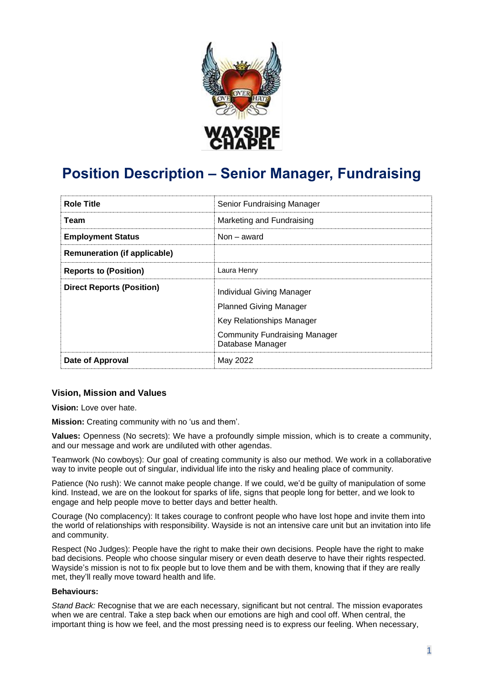

# **Position Description – Senior Manager, Fundraising**

| <b>Role Title</b>                   | Senior Fundraising Manager                                 |
|-------------------------------------|------------------------------------------------------------|
| Team                                | Marketing and Fundraising                                  |
| <b>Employment Status</b>            | Non – award                                                |
| <b>Remuneration (if applicable)</b> |                                                            |
| <b>Reports to (Position)</b>        | Laura Henry                                                |
| <b>Direct Reports (Position)</b>    | Individual Giving Manager                                  |
|                                     | <b>Planned Giving Manager</b><br>Key Relationships Manager |
|                                     | <b>Community Fundraising Manager</b><br>Database Manager   |
| Date of Approval                    | May 2022                                                   |

## **Vision, Mission and Values**

**Vision:** Love over hate.

**Mission:** Creating community with no 'us and them'.

**Values:** Openness (No secrets): We have a profoundly simple mission, which is to create a community, and our message and work are undiluted with other agendas.

Teamwork (No cowboys): Our goal of creating community is also our method. We work in a collaborative way to invite people out of singular, individual life into the risky and healing place of community.

Patience (No rush): We cannot make people change. If we could, we'd be guilty of manipulation of some kind. Instead, we are on the lookout for sparks of life, signs that people long for better, and we look to engage and help people move to better days and better health.

Courage (No complacency): It takes courage to confront people who have lost hope and invite them into the world of relationships with responsibility. Wayside is not an intensive care unit but an invitation into life and community.

Respect (No Judges): People have the right to make their own decisions. People have the right to make bad decisions. People who choose singular misery or even death deserve to have their rights respected. Wayside's mission is not to fix people but to love them and be with them, knowing that if they are really met, they'll really move toward health and life.

#### **Behaviours:**

*Stand Back:* Recognise that we are each necessary, significant but not central. The mission evaporates when we are central. Take a step back when our emotions are high and cool off. When central, the important thing is how we feel, and the most pressing need is to express our feeling. When necessary,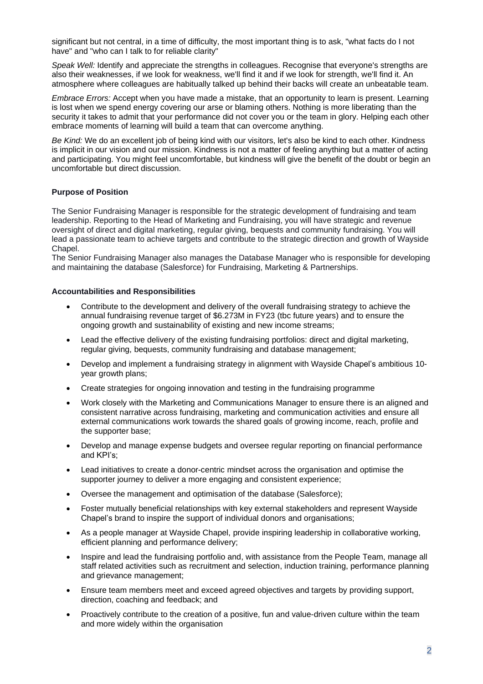significant but not central, in a time of difficulty, the most important thing is to ask, "what facts do I not have" and "who can I talk to for reliable clarity"

*Speak Well:* Identify and appreciate the strengths in colleagues. Recognise that everyone's strengths are also their weaknesses, if we look for weakness, we'll find it and if we look for strength, we'll find it. An atmosphere where colleagues are habitually talked up behind their backs will create an unbeatable team.

*Embrace Errors:* Accept when you have made a mistake, that an opportunity to learn is present. Learning is lost when we spend energy covering our arse or blaming others. Nothing is more liberating than the security it takes to admit that your performance did not cover you or the team in glory. Helping each other embrace moments of learning will build a team that can overcome anything.

*Be Kind:* We do an excellent job of being kind with our visitors, let's also be kind to each other. Kindness is implicit in our vision and our mission. Kindness is not a matter of feeling anything but a matter of acting and participating. You might feel uncomfortable, but kindness will give the benefit of the doubt or begin an uncomfortable but direct discussion.

#### **Purpose of Position**

The Senior Fundraising Manager is responsible for the strategic development of fundraising and team leadership. Reporting to the Head of Marketing and Fundraising, you will have strategic and revenue oversight of direct and digital marketing, regular giving, bequests and community fundraising. You will lead a passionate team to achieve targets and contribute to the strategic direction and growth of Wayside Chapel.

The Senior Fundraising Manager also manages the Database Manager who is responsible for developing and maintaining the database (Salesforce) for Fundraising, Marketing & Partnerships.

#### **Accountabilities and Responsibilities**

- Contribute to the development and delivery of the overall fundraising strategy to achieve the annual fundraising revenue target of \$6.273M in FY23 (tbc future years) and to ensure the ongoing growth and sustainability of existing and new income streams;
- Lead the effective delivery of the existing fundraising portfolios: direct and digital marketing, regular giving, bequests, community fundraising and database management;
- Develop and implement a fundraising strategy in alignment with Wayside Chapel's ambitious 10 year growth plans;
- Create strategies for ongoing innovation and testing in the fundraising programme
- Work closely with the Marketing and Communications Manager to ensure there is an aligned and consistent narrative across fundraising, marketing and communication activities and ensure all external communications work towards the shared goals of growing income, reach, profile and the supporter base;
- Develop and manage expense budgets and oversee regular reporting on financial performance and KPI's;
- Lead initiatives to create a donor-centric mindset across the organisation and optimise the supporter journey to deliver a more engaging and consistent experience;
- Oversee the management and optimisation of the database (Salesforce);
- Foster mutually beneficial relationships with key external stakeholders and represent Wayside Chapel's brand to inspire the support of individual donors and organisations;
- As a people manager at Wayside Chapel, provide inspiring leadership in collaborative working, efficient planning and performance delivery;
- Inspire and lead the fundraising portfolio and, with assistance from the People Team, manage all staff related activities such as recruitment and selection, induction training, performance planning and grievance management;
- Ensure team members meet and exceed agreed objectives and targets by providing support, direction, coaching and feedback; and
- Proactively contribute to the creation of a positive, fun and value-driven culture within the team and more widely within the organisation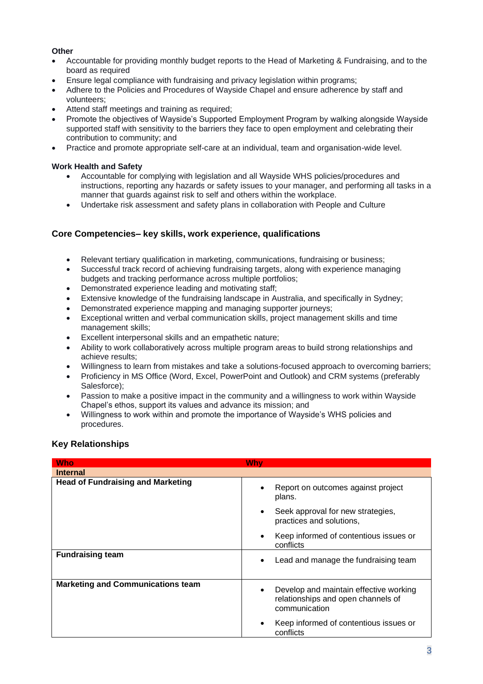#### **Other**

- Accountable for providing monthly budget reports to the Head of Marketing & Fundraising, and to the board as required
- Ensure legal compliance with fundraising and privacy legislation within programs;
- Adhere to the Policies and Procedures of Wayside Chapel and ensure adherence by staff and volunteers;
- Attend staff meetings and training as required;
- Promote the objectives of Wayside's Supported Employment Program by walking alongside Wayside supported staff with sensitivity to the barriers they face to open employment and celebrating their contribution to community; and
- Practice and promote appropriate self-care at an individual, team and organisation-wide level.

#### **Work Health and Safety**

- Accountable for complying with legislation and all Wayside WHS policies/procedures and instructions, reporting any hazards or safety issues to your manager, and performing all tasks in a manner that guards against risk to self and others within the workplace.
- Undertake risk assessment and safety plans in collaboration with People and Culture

## **Core Competencies– key skills, work experience, qualifications**

- Relevant tertiary qualification in marketing, communications, fundraising or business;
- Successful track record of achieving fundraising targets, along with experience managing budgets and tracking performance across multiple portfolios;
- Demonstrated experience leading and motivating staff;
- Extensive knowledge of the fundraising landscape in Australia, and specifically in Sydney;
- Demonstrated experience mapping and managing supporter journeys;
- Exceptional written and verbal communication skills, project management skills and time management skills;
- Excellent interpersonal skills and an empathetic nature;
- Ability to work collaboratively across multiple program areas to build strong relationships and achieve results;
- Willingness to learn from mistakes and take a solutions-focused approach to overcoming barriers;
- Proficiency in MS Office (Word, Excel, PowerPoint and Outlook) and CRM systems (preferably Salesforce);
- Passion to make a positive impact in the community and a willingness to work within Wayside Chapel's ethos, support its values and advance its mission; and
- Willingness to work within and promote the importance of Wayside's WHS policies and procedures.

## **Key Relationships**

| <b>Who</b>                               | Why                                                                                                        |
|------------------------------------------|------------------------------------------------------------------------------------------------------------|
| <b>Internal</b>                          |                                                                                                            |
| <b>Head of Fundraising and Marketing</b> | Report on outcomes against project<br>$\bullet$<br>plans.                                                  |
|                                          | Seek approval for new strategies,<br>$\bullet$<br>practices and solutions,                                 |
|                                          | Keep informed of contentious issues or<br>$\bullet$<br>conflicts                                           |
| <b>Fundraising team</b>                  | Lead and manage the fundraising team<br>$\bullet$                                                          |
| <b>Marketing and Communications team</b> | Develop and maintain effective working<br>$\bullet$<br>relationships and open channels of<br>communication |
|                                          | Keep informed of contentious issues or<br>$\bullet$<br>conflicts                                           |